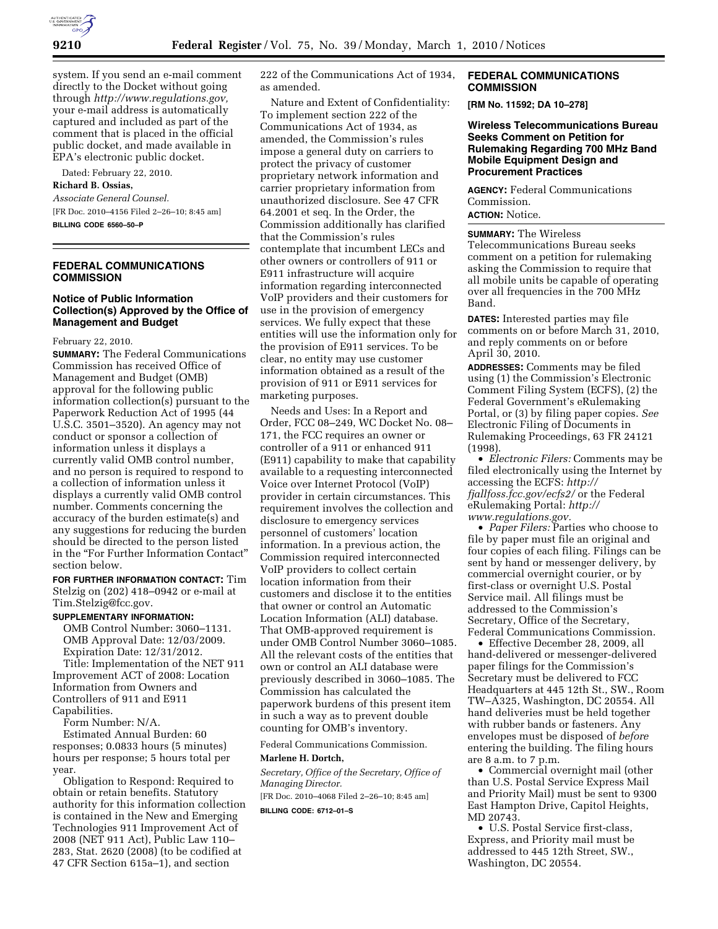

system. If you send an e-mail comment directly to the Docket without going through *http://www.regulations.gov,*  your e-mail address is automatically captured and included as part of the comment that is placed in the official public docket, and made available in EPA's electronic public docket.

Dated: February 22, 2010.

**Richard B. Ossias,** 

*Associate General Counsel.*  [FR Doc. 2010–4156 Filed 2–26–10; 8:45 am] **BILLING CODE 6560–50–P** 

**FEDERAL COMMUNICATIONS COMMISSION** 

## **Notice of Public Information Collection(s) Approved by the Office of Management and Budget**

#### February 22, 2010.

**SUMMARY:** The Federal Communications Commission has received Office of Management and Budget (OMB) approval for the following public information collection(s) pursuant to the Paperwork Reduction Act of 1995 (44 U.S.C. 3501–3520). An agency may not conduct or sponsor a collection of information unless it displays a currently valid OMB control number, and no person is required to respond to a collection of information unless it displays a currently valid OMB control number. Comments concerning the accuracy of the burden estimate(s) and any suggestions for reducing the burden should be directed to the person listed in the "For Further Information Contact" section below.

**FOR FURTHER INFORMATION CONTACT:** Tim Stelzig on (202) 418–0942 or e-mail at Tim.Stelzig@fcc.gov.

#### **SUPPLEMENTARY INFORMATION:**

OMB Control Number: 3060–1131. OMB Approval Date: 12/03/2009. Expiration Date: 12/31/2012.

Title: Implementation of the NET 911 Improvement ACT of 2008: Location Information from Owners and Controllers of 911 and E911 Capabilities.

Form Number: N/A.

Estimated Annual Burden: 60 responses; 0.0833 hours (5 minutes) hours per response; 5 hours total per year.

Obligation to Respond: Required to obtain or retain benefits. Statutory authority for this information collection is contained in the New and Emerging Technologies 911 Improvement Act of 2008 (NET 911 Act), Public Law 110– 283, Stat. 2620 (2008) (to be codified at 47 CFR Section 615a–1), and section

222 of the Communications Act of 1934, as amended.

Nature and Extent of Confidentiality: To implement section 222 of the Communications Act of 1934, as amended, the Commission's rules impose a general duty on carriers to protect the privacy of customer proprietary network information and carrier proprietary information from unauthorized disclosure. See 47 CFR 64.2001 et seq. In the Order, the Commission additionally has clarified that the Commission's rules contemplate that incumbent LECs and other owners or controllers of 911 or E911 infrastructure will acquire information regarding interconnected VoIP providers and their customers for use in the provision of emergency services. We fully expect that these entities will use the information only for the provision of E911 services. To be clear, no entity may use customer information obtained as a result of the provision of 911 or E911 services for marketing purposes.

Needs and Uses: In a Report and Order, FCC 08–249, WC Docket No. 08– 171, the FCC requires an owner or controller of a 911 or enhanced 911 (E911) capability to make that capability available to a requesting interconnected Voice over Internet Protocol (VoIP) provider in certain circumstances. This requirement involves the collection and disclosure to emergency services personnel of customers' location information. In a previous action, the Commission required interconnected VoIP providers to collect certain location information from their customers and disclose it to the entities that owner or control an Automatic Location Information (ALI) database. That OMB-approved requirement is under OMB Control Number 3060–1085. All the relevant costs of the entities that own or control an ALI database were previously described in 3060–1085. The Commission has calculated the paperwork burdens of this present item in such a way as to prevent double counting for OMB's inventory.

Federal Communications Commission.

#### **Marlene H. Dortch,**

*Secretary, Office of the Secretary, Office of Managing Director.* 

[FR Doc. 2010–4068 Filed 2–26–10; 8:45 am]

**BILLING CODE: 6712–01–S** 

## **FEDERAL COMMUNICATIONS COMMISSION**

**[RM No. 11592; DA 10–278]** 

**Wireless Telecommunications Bureau Seeks Comment on Petition for Rulemaking Regarding 700 MHz Band Mobile Equipment Design and Procurement Practices** 

**AGENCY:** Federal Communications Commission. **ACTION:** Notice.

#### **SUMMARY:** The Wireless

Telecommunications Bureau seeks comment on a petition for rulemaking asking the Commission to require that all mobile units be capable of operating over all frequencies in the 700 MHz Band.

**DATES:** Interested parties may file comments on or before March 31, 2010, and reply comments on or before April 30, 2010.

**ADDRESSES:** Comments may be filed using (1) the Commission's Electronic Comment Filing System (ECFS), (2) the Federal Government's eRulemaking Portal, or (3) by filing paper copies. *See*  Electronic Filing of Documents in Rulemaking Proceedings, 63 FR 24121 (1998).

• *Electronic Filers:* Comments may be filed electronically using the Internet by accessing the ECFS: *http:// fjallfoss.fcc.gov/ecfs2/* or the Federal eRulemaking Portal: *http:// www.regulations.gov.* 

• *Paper Filers:* Parties who choose to file by paper must file an original and four copies of each filing. Filings can be sent by hand or messenger delivery, by commercial overnight courier, or by first-class or overnight U.S. Postal Service mail. All filings must be addressed to the Commission's Secretary, Office of the Secretary, Federal Communications Commission.

• Effective December 28, 2009, all hand-delivered or messenger-delivered paper filings for the Commission's Secretary must be delivered to FCC Headquarters at 445 12th St., SW., Room TW–A325, Washington, DC 20554. All hand deliveries must be held together with rubber bands or fasteners. Any envelopes must be disposed of *before*  entering the building. The filing hours are 8 a.m. to 7 p.m.

• Commercial overnight mail (other than U.S. Postal Service Express Mail and Priority Mail) must be sent to 9300 East Hampton Drive, Capitol Heights, MD 20743.

• U.S. Postal Service first-class, Express, and Priority mail must be addressed to 445 12th Street, SW., Washington, DC 20554.